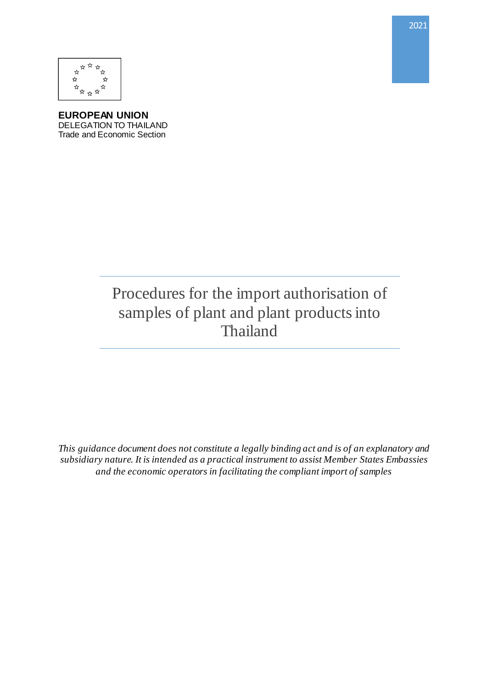

**EUROPEAN UNION** DELEGATION TO THAILAND Trade and Economic Section

# Procedures for the import authorisation of samples of plant and plant products into Thailand

*This guidance document does not constitute a legally binding act and is of an explanatory and subsidiary nature. It is intended as a practical instrument to assist Member States Embassies and the economic operators in facilitating the compliant import of samples*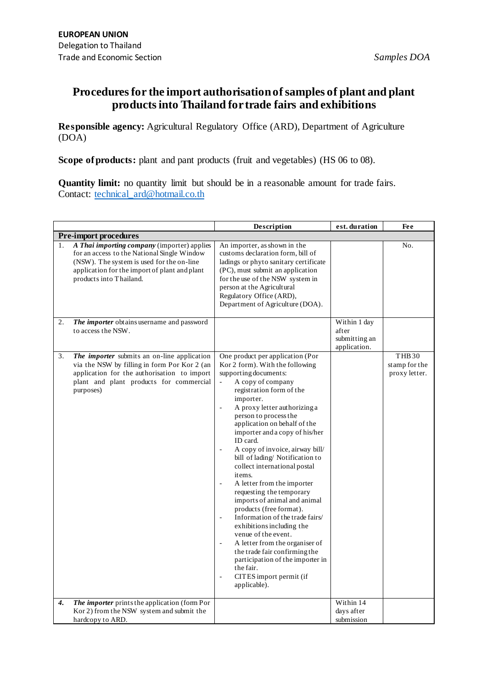## **Procedures for the import authorisation of samples of plant and plant products into Thailand for trade fairs and exhibitions**

**Responsible agency:** Agricultural Regulatory Office (ARD), Department of Agriculture (DOA)

**Scope of products:** plant and pant products (fruit and vegetables) (HS 06 to 08).

**Quantity limit:** no quantity limit but should be in a reasonable amount for trade fairs. Contact: [technical\\_ard@hotmail.co.th](mailto:technical_ard@hotmail.co.th)

|             |                                                                                                                                                                                                                     | Description                                                                                                                                                                                                                                                                                                                                                                                                                                                                                                                                                                                                                                                                                                                                                                                                             | est. duration                                          | Fee                                            |
|-------------|---------------------------------------------------------------------------------------------------------------------------------------------------------------------------------------------------------------------|-------------------------------------------------------------------------------------------------------------------------------------------------------------------------------------------------------------------------------------------------------------------------------------------------------------------------------------------------------------------------------------------------------------------------------------------------------------------------------------------------------------------------------------------------------------------------------------------------------------------------------------------------------------------------------------------------------------------------------------------------------------------------------------------------------------------------|--------------------------------------------------------|------------------------------------------------|
|             | <b>Pre-import procedures</b>                                                                                                                                                                                        |                                                                                                                                                                                                                                                                                                                                                                                                                                                                                                                                                                                                                                                                                                                                                                                                                         |                                                        |                                                |
| $1_{\cdot}$ | A Thai importing company (importer) applies<br>for an access to the National Single Window<br>(NSW). The system is used for the on-line<br>application for the import of plant and plant<br>products into Thailand. | An importer, as shown in the<br>customs declaration form, bill of<br>ladings or phyto sanitary certificate<br>(PC), must submit an application<br>for the use of the NSW system in<br>person at the Agricultural<br>Regulatory Office (ARD),<br>Department of Agriculture (DOA).                                                                                                                                                                                                                                                                                                                                                                                                                                                                                                                                        |                                                        | No.                                            |
| 2.          | The importer obtains username and password<br>to access the NSW.                                                                                                                                                    |                                                                                                                                                                                                                                                                                                                                                                                                                                                                                                                                                                                                                                                                                                                                                                                                                         | Within 1 day<br>after<br>submitting an<br>application. |                                                |
| 3.          | The importer submits an on-line application<br>via the NSW by filling in form Por Kor 2 (an<br>application for the authorisation to import<br>plant and plant products for commercial<br>purposes)                  | One product per application (Por<br>Kor 2 form). With the following<br>supporting documents:<br>A copy of company<br>registration form of the<br>importer.<br>A proxy letter authorizing a<br>person to process the<br>application on behalf of the<br>importer and a copy of his/her<br>ID card.<br>A copy of invoice, airway bill/<br>$\overline{\phantom{a}}$<br>bill of lading/Notification to<br>collect international postal<br>items.<br>A letter from the importer<br>requesting the temporary<br>imports of animal and animal<br>products (free format).<br>Information of the trade fairs/<br>exhibitions including the<br>venue of the event.<br>A letter from the organiser of<br>the trade fair confirming the<br>participation of the importer in<br>the fair.<br>CITES import permit (if<br>applicable). |                                                        | <b>THB30</b><br>stamp for the<br>proxy letter. |
| 4.          | The importer prints the application (form Por<br>Kor 2) from the NSW system and submit the<br>hardcopy to ARD.                                                                                                      |                                                                                                                                                                                                                                                                                                                                                                                                                                                                                                                                                                                                                                                                                                                                                                                                                         | Within 14<br>days after<br>submission                  |                                                |